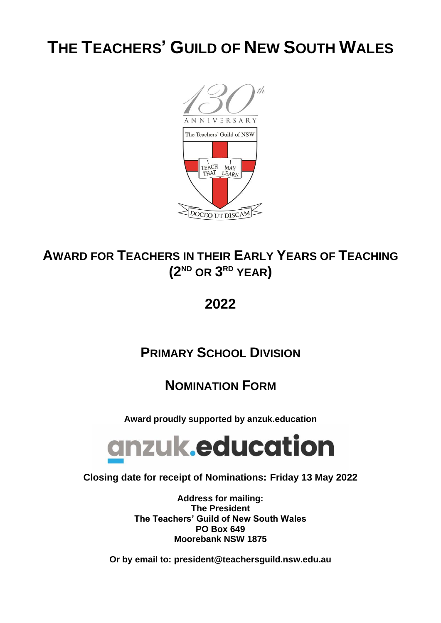# **THE TEACHERS' GUILD OF NEW SOUTH WALES**



## **AWARD FOR TEACHERS IN THEIR EARLY YEARS OF TEACHING (2ND OR 3 RD YEAR)**

## **2022**

## **PRIMARY SCHOOL DIVISION**

### **NOMINATION FORM**

**Award proudly supported by anzuk.education**



### **Closing date for receipt of Nominations: Friday 13 May 2022**

**Address for mailing: The President The Teachers' Guild of New South Wales PO Box 649 Moorebank NSW 1875**

**Or by email to: president@teachersguild.nsw.edu.au**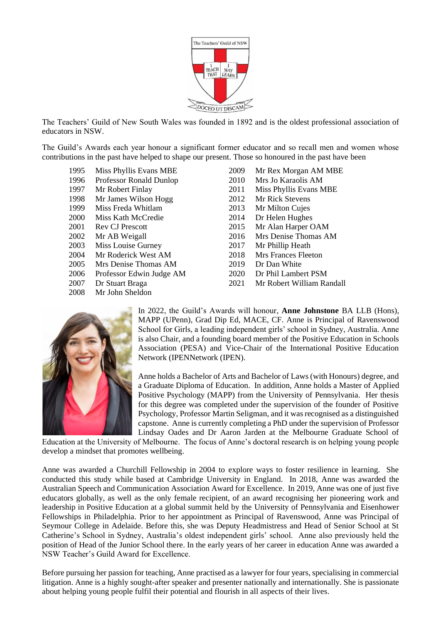

The Teachers' Guild of New South Wales was founded in 1892 and is the oldest professional association of educators in NSW.

The Guild's Awards each year honour a significant former educator and so recall men and women whose contributions in the past have helped to shape our present. Those so honoured in the past have been

- 
- 1996 Professor Ronald Dunlop 2010 Mrs Jo Karaolis AM
- 
- 1998 Mr James Wilson Hogg 2012 Mr Rick Stevens
- 1999 Miss Freda Whitlam 2013 Mr Milton Cujes
- 2000 Miss Kath McCredie 2014 Dr Helen Hughes
- 
- 
- 2003 Miss Louise Gurney 2017 Mr Phillip Heath
- 2004 Mr Roderick West AM 2018 Mrs Frances Fleeton
- 2005 Mrs Denise Thomas AM 2019 Dr Dan White
- 2006 Professor Edwin Judge AM 2020 Dr Phil Lambert PSM
- 
- 2008 Mr John Sheldon
- 1995 Miss Phyllis Evans MBE 2009 Mr Rex Morgan AM MBE 1997 Mr Robert Finlay 2011 Miss Phyllis Evans MBE 2001 Rev CJ Prescott 2015 Mr Alan Harper OAM 2002 Mr AB Weigall 2016 Mrs Denise Thomas AM 2007 Dr Stuart Braga 2021 Mr Robert William Randall



In 2022, the Guild's Awards will honour, **Anne Johnstone** BA LLB (Hons), MAPP (UPenn), Grad Dip Ed, MACE, CF. Anne is Principal of Ravenswood School for Girls, a leading independent girls' school in Sydney, Australia. Anne is also Chair, and a founding board member of the Positive Education in Schools Association (PESA) and Vice-Chair of the International Positive Education Network (IPENNetwork (IPEN).

Anne holds a Bachelor of Arts and Bachelor of Laws (with Honours) degree, and a Graduate Diploma of Education. In addition, Anne holds a Master of Applied Positive Psychology (MAPP) from the University of Pennsylvania. Her thesis for this degree was completed under the supervision of the founder of Positive Psychology, Professor Martin Seligman, and it was recognised as a distinguished capstone. Anne is currently completing a PhD under the supervision of Professor Lindsay Oades and Dr Aaron Jarden at the Melbourne Graduate School of

Education at the University of Melbourne. The focus of Anne's doctoral research is on helping young people develop a mindset that promotes wellbeing.

Anne was awarded a Churchill Fellowship in 2004 to explore ways to foster resilience in learning. She conducted this study while based at Cambridge University in England. In 2018, Anne was awarded the Australian Speech and Communication Association Award for Excellence. In 2019, Anne was one of just five educators globally, as well as the only female recipient, of an award recognising her pioneering work and leadership in Positive Education at a global summit held by the University of Pennsylvania and Eisenhower Fellowships in Philadelphia. Prior to her appointment as Principal of Ravenswood, Anne was Principal of Seymour College in Adelaide. Before this, she was Deputy Headmistress and Head of Senior School at St Catherine's School in Sydney, Australia's oldest independent girls' school. Anne also previously held the position of Head of the Junior School there. In the early years of her career in education Anne was awarded a NSW Teacher's Guild Award for Excellence.

Before pursuing her passion for teaching, Anne practised as a lawyer for four years, specialising in commercial litigation. Anne is a highly sought-after speaker and presenter nationally and internationally. She is passionate about helping young people fulfil their potential and flourish in all aspects of their lives.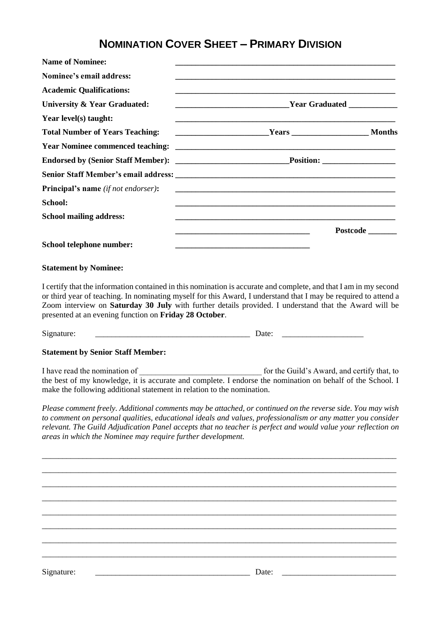### **NOMINATION COVER SHEET – PRIMARY DIVISION**

| <b>Name of Nominee:</b>                    |                                                                                                                      |          |
|--------------------------------------------|----------------------------------------------------------------------------------------------------------------------|----------|
| Nominee's email address:                   |                                                                                                                      |          |
| <b>Academic Qualifications:</b>            |                                                                                                                      |          |
| University & Year Graduated:               |                                                                                                                      |          |
| Year level(s) taught:                      |                                                                                                                      |          |
| <b>Total Number of Years Teaching:</b>     |                                                                                                                      |          |
|                                            |                                                                                                                      |          |
|                                            |                                                                                                                      |          |
|                                            |                                                                                                                      |          |
| <b>Principal's name</b> (if not endorser): |                                                                                                                      |          |
| School:                                    |                                                                                                                      |          |
| <b>School mailing address:</b>             |                                                                                                                      |          |
|                                            |                                                                                                                      | Postcode |
| School telephone number:                   | <u> 1980 - Johann Barbara, martin amerikan basar dan berasal dalam basa dalam basar dalam basar dalam basa dalam</u> |          |

#### **Statement by Nominee:**

I certify that the information contained in this nomination is accurate and complete, and that I am in my second or third year of teaching. In nominating myself for this Award, I understand that I may be required to attend a Zoom interview on **Saturday 30 July** with further details provided. I understand that the Award will be presented at an evening function on **Friday 28 October**.

Signature: \_\_\_\_\_\_\_\_\_\_\_\_\_\_\_\_\_\_\_\_\_\_\_\_\_\_\_\_\_\_\_\_\_\_\_\_\_\_ Date: \_\_\_\_\_\_\_\_\_\_\_\_\_\_\_\_\_\_\_\_

#### **Statement by Senior Staff Member:**

I have read the nomination of \_\_\_\_\_\_\_\_\_\_\_\_\_\_\_\_\_\_\_\_\_\_\_\_\_\_\_\_\_\_ for the Guild's Award, and certify that, to the best of my knowledge, it is accurate and complete. I endorse the nomination on behalf of the School. I make the following additional statement in relation to the nomination.

*Please comment freely. Additional comments may be attached, or continued on the reverse side. You may wish to comment on personal qualities, educational ideals and values, professionalism or any matter you consider relevant. The Guild Adjudication Panel accepts that no teacher is perfect and would value your reflection on areas in which the Nominee may require further development.*

\_\_\_\_\_\_\_\_\_\_\_\_\_\_\_\_\_\_\_\_\_\_\_\_\_\_\_\_\_\_\_\_\_\_\_\_\_\_\_\_\_\_\_\_\_\_\_\_\_\_\_\_\_\_\_\_\_\_\_\_\_\_\_\_\_\_\_\_\_\_\_\_\_\_\_\_\_\_\_\_\_\_\_\_\_\_\_ \_\_\_\_\_\_\_\_\_\_\_\_\_\_\_\_\_\_\_\_\_\_\_\_\_\_\_\_\_\_\_\_\_\_\_\_\_\_\_\_\_\_\_\_\_\_\_\_\_\_\_\_\_\_\_\_\_\_\_\_\_\_\_\_\_\_\_\_\_\_\_\_\_\_\_\_\_\_\_\_\_\_\_\_\_\_\_ \_\_\_\_\_\_\_\_\_\_\_\_\_\_\_\_\_\_\_\_\_\_\_\_\_\_\_\_\_\_\_\_\_\_\_\_\_\_\_\_\_\_\_\_\_\_\_\_\_\_\_\_\_\_\_\_\_\_\_\_\_\_\_\_\_\_\_\_\_\_\_\_\_\_\_\_\_\_\_\_\_\_\_\_\_\_\_ \_\_\_\_\_\_\_\_\_\_\_\_\_\_\_\_\_\_\_\_\_\_\_\_\_\_\_\_\_\_\_\_\_\_\_\_\_\_\_\_\_\_\_\_\_\_\_\_\_\_\_\_\_\_\_\_\_\_\_\_\_\_\_\_\_\_\_\_\_\_\_\_\_\_\_\_\_\_\_\_\_\_\_\_\_\_\_ \_\_\_\_\_\_\_\_\_\_\_\_\_\_\_\_\_\_\_\_\_\_\_\_\_\_\_\_\_\_\_\_\_\_\_\_\_\_\_\_\_\_\_\_\_\_\_\_\_\_\_\_\_\_\_\_\_\_\_\_\_\_\_\_\_\_\_\_\_\_\_\_\_\_\_\_\_\_\_\_\_\_\_\_\_\_\_ \_\_\_\_\_\_\_\_\_\_\_\_\_\_\_\_\_\_\_\_\_\_\_\_\_\_\_\_\_\_\_\_\_\_\_\_\_\_\_\_\_\_\_\_\_\_\_\_\_\_\_\_\_\_\_\_\_\_\_\_\_\_\_\_\_\_\_\_\_\_\_\_\_\_\_\_\_\_\_\_\_\_\_\_\_\_\_ \_\_\_\_\_\_\_\_\_\_\_\_\_\_\_\_\_\_\_\_\_\_\_\_\_\_\_\_\_\_\_\_\_\_\_\_\_\_\_\_\_\_\_\_\_\_\_\_\_\_\_\_\_\_\_\_\_\_\_\_\_\_\_\_\_\_\_\_\_\_\_\_\_\_\_\_\_\_\_\_\_\_\_\_\_\_\_ \_\_\_\_\_\_\_\_\_\_\_\_\_\_\_\_\_\_\_\_\_\_\_\_\_\_\_\_\_\_\_\_\_\_\_\_\_\_\_\_\_\_\_\_\_\_\_\_\_\_\_\_\_\_\_\_\_\_\_\_\_\_\_\_\_\_\_\_\_\_\_\_\_\_\_\_\_\_\_\_\_\_\_\_\_\_\_

Signature:  $\Box$